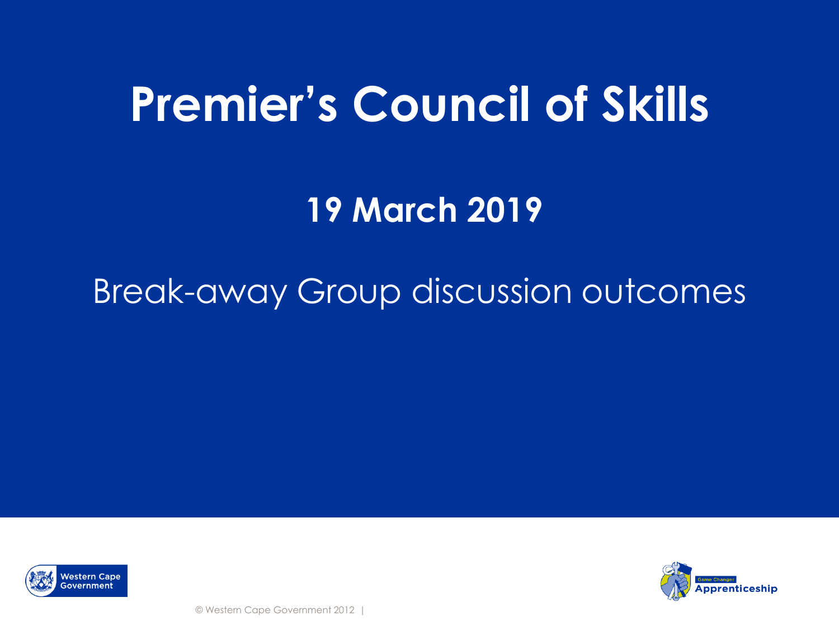# **Premier's Council of Skills**

**19 March 2019**

### Break-away Group discussion outcomes



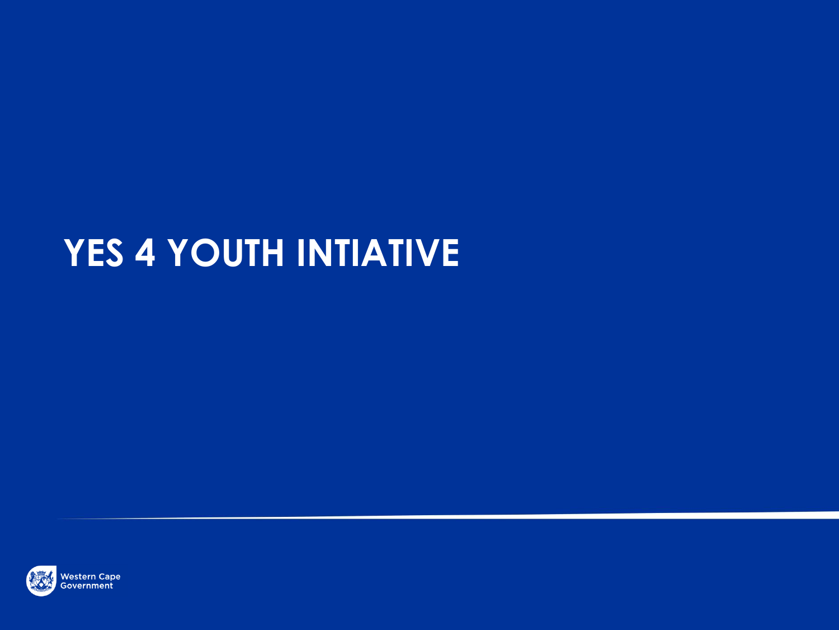# **YES 4 YOUTH INTIATIVE**

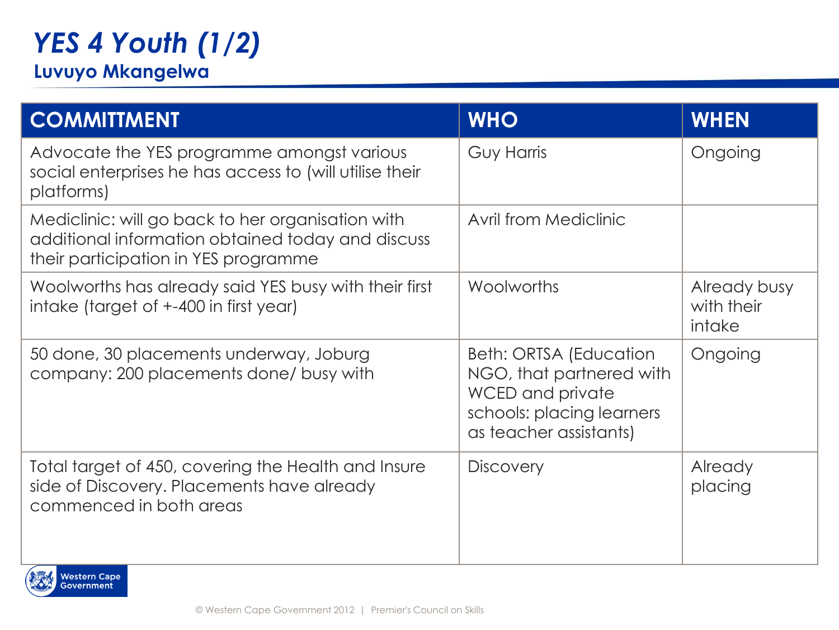### *YES 4 Youth (1/2)*

#### **Luvuyo Mkangelwa**

| <b>COMMITTMENT</b>                                                                                                                             | <b>WHO</b>                                                                                                                    | <b>WHEN</b>                          |
|------------------------------------------------------------------------------------------------------------------------------------------------|-------------------------------------------------------------------------------------------------------------------------------|--------------------------------------|
| Advocate the YES programme amongst various<br>social enterprises he has access to (will utilise their<br>platforms)                            | Guy Harris                                                                                                                    | Ongoing                              |
| Mediclinic: will go back to her organisation with<br>additional information obtained today and discuss<br>their participation in YES programme | Avril from Mediclinic                                                                                                         |                                      |
| Woolworths has already said YES busy with their first<br>intake (target of +-400 in first year)                                                | Woolworths                                                                                                                    | Already busy<br>with their<br>intake |
| 50 done, 30 placements underway, Joburg<br>company: 200 placements done/ busy with                                                             | Beth: ORTSA (Education<br>NGO, that partnered with<br>WCED and private<br>schools: placing learners<br>as teacher assistants) | Ongoing                              |
| Total target of 450, covering the Health and Insure<br>side of Discovery. Placements have already<br>commenced in both areas                   | <b>Discovery</b>                                                                                                              | Already<br>placing                   |

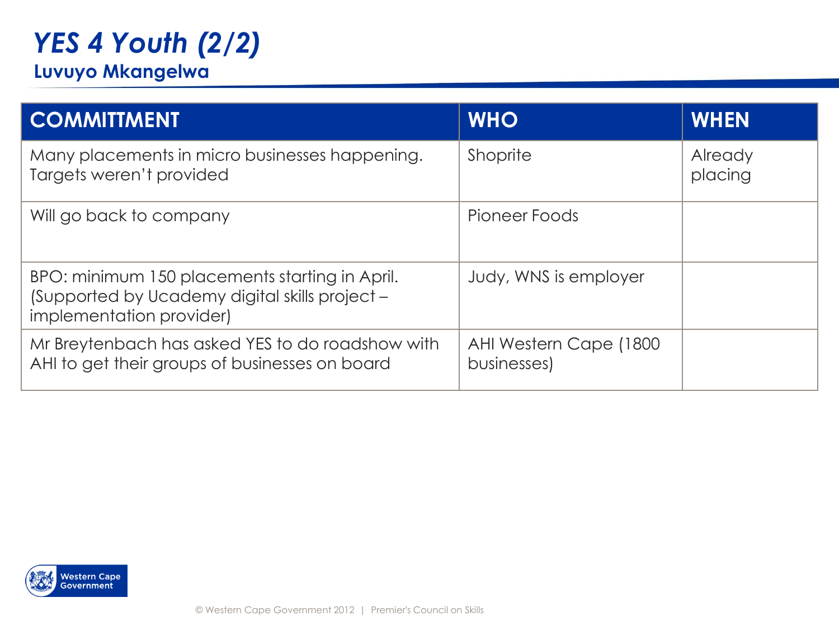## *YES 4 Youth (2/2)*

#### **Luvuyo Mkangelwa**

| <b>COMMITTMENT</b>                                                                                                           | <b>WHO</b>                            | <b>WHEN</b>        |
|------------------------------------------------------------------------------------------------------------------------------|---------------------------------------|--------------------|
| Many placements in micro businesses happening.<br>Targets weren't provided                                                   | Shoprite                              | Already<br>placing |
| Will go back to company                                                                                                      | Pioneer Foods                         |                    |
| BPO: minimum 150 placements starting in April.<br>(Supported by Ucademy digital skills project -<br>implementation provider) | Judy, WNS is employer                 |                    |
| Mr Breytenbach has asked YES to do roadshow with<br>AHI to get their groups of businesses on board                           | AHI Western Cape (1800<br>businesses) |                    |

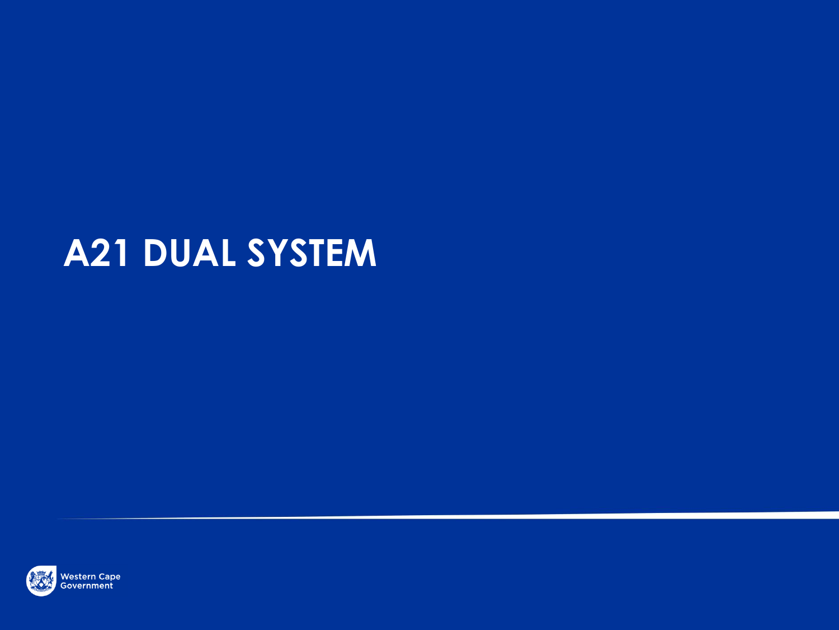## **A21 DUAL SYSTEM**

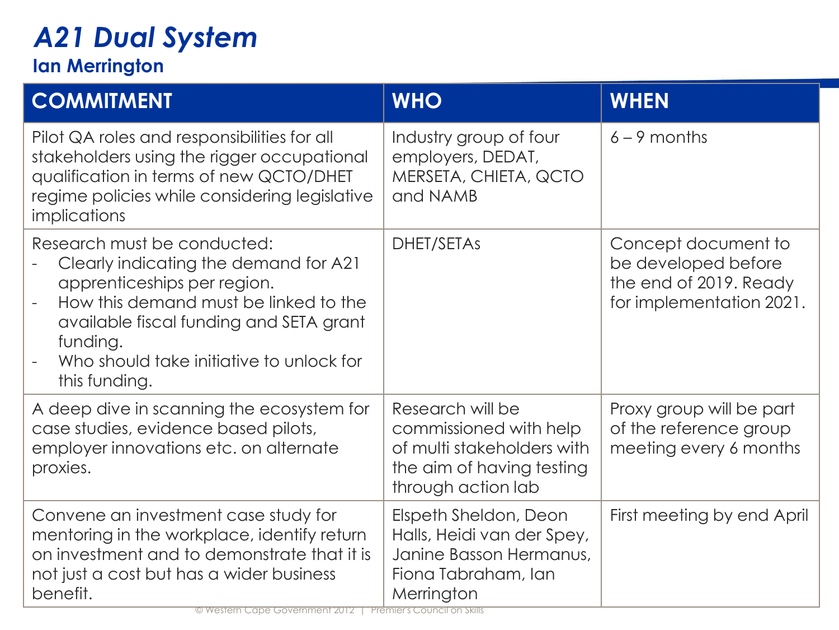### *A21 Dual System*

#### **Ian Merrington**

| <b>COMMITMENT</b>                                                                                                                                                                                                                                                | <b>WHO</b>                                                                                                                  | <b>WHEN</b>                                                                                      |
|------------------------------------------------------------------------------------------------------------------------------------------------------------------------------------------------------------------------------------------------------------------|-----------------------------------------------------------------------------------------------------------------------------|--------------------------------------------------------------------------------------------------|
| Pilot QA roles and responsibilities for all<br>stakeholders using the rigger occupational<br>qualification in terms of new QCTO/DHET<br>regime policies while considering legislative<br>implications                                                            | Industry group of four<br>employers, DEDAT,<br>MERSETA, CHIETA, QCTO<br>and NAMB                                            | $6 - 9$ months                                                                                   |
| Research must be conducted:<br>Clearly indicating the demand for A21<br>apprenticeships per region.<br>How this demand must be linked to the<br>available fiscal funding and SETA grant<br>funding.<br>Who should take initiative to unlock for<br>this funding. | DHET/SETAS                                                                                                                  | Concept document to<br>be developed before<br>the end of 2019. Ready<br>for implementation 2021. |
| A deep dive in scanning the ecosystem for<br>case studies, evidence based pilots,<br>employer innovations etc. on alternate<br>proxies.                                                                                                                          | Research will be<br>commissioned with help<br>of multi stakeholders with<br>the aim of having testing<br>through action lab | Proxy group will be part<br>of the reference group<br>meeting every 6 months                     |
| Convene an investment case study for<br>mentoring in the workplace, identify return<br>on investment and to demonstrate that it is<br>not just a cost but has a wider business<br>benefit.                                                                       | Elspeth Sheldon, Deon<br>Halls, Heidi van der Spey,<br>Janine Basson Hermanus,<br>Fiona Tabraham, Ian<br>Merrington         | First meeting by end April                                                                       |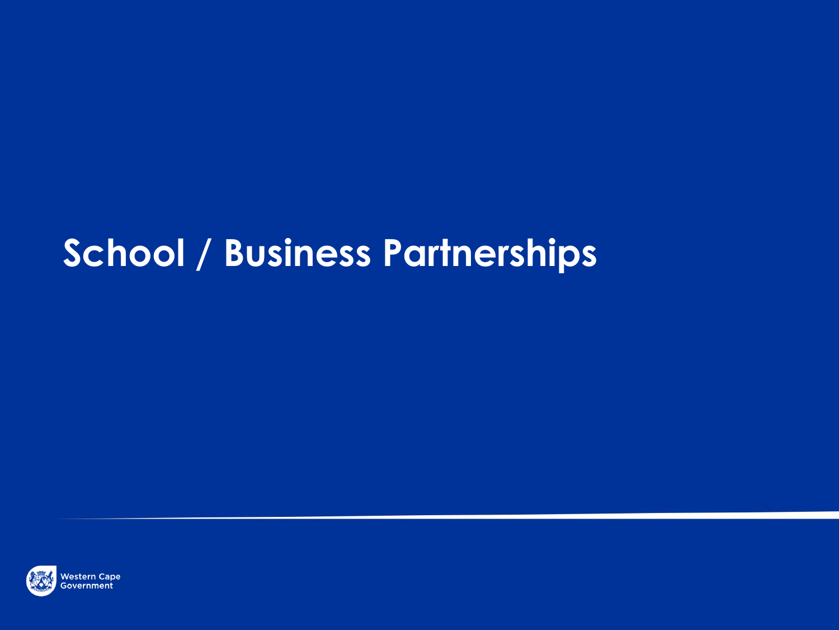# **School / Business Partnerships**

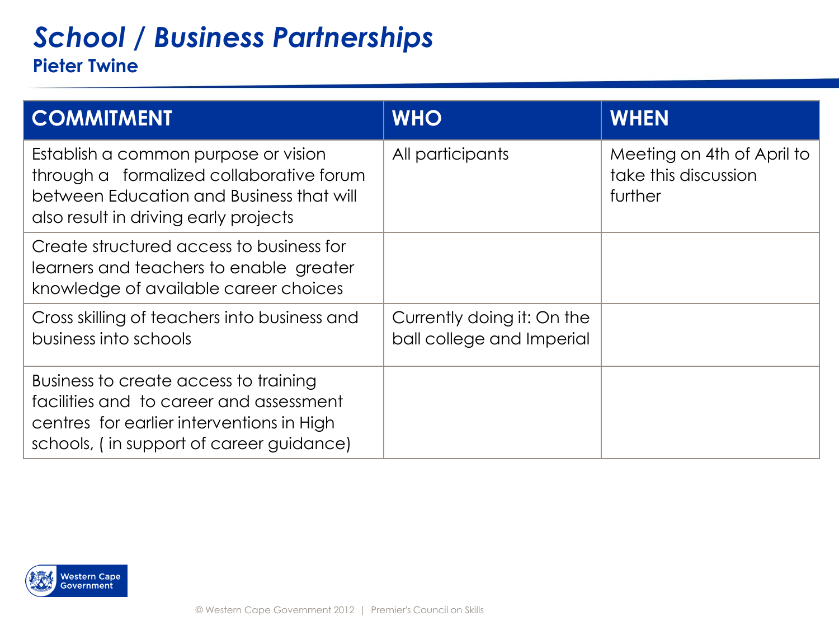### *School / Business Partnerships* **Pieter Twine**

| <b>COMMITMENT</b>                                                                                                                                                         | <b>WHO</b>                                              | <b>WHEN</b>                                                   |
|---------------------------------------------------------------------------------------------------------------------------------------------------------------------------|---------------------------------------------------------|---------------------------------------------------------------|
| Establish a common purpose or vision<br>through a formalized collaborative forum<br>between Education and Business that will<br>also result in driving early projects     | All participants                                        | Meeting on 4th of April to<br>take this discussion<br>further |
| Create structured access to business for<br>learners and teachers to enable greater<br>knowledge of available career choices                                              |                                                         |                                                               |
| Cross skilling of teachers into business and<br>business into schools                                                                                                     | Currently doing it: On the<br>ball college and Imperial |                                                               |
| Business to create access to training<br>facilities and to career and assessment<br>centres for earlier interventions in High<br>schools, (in support of career guidance) |                                                         |                                                               |

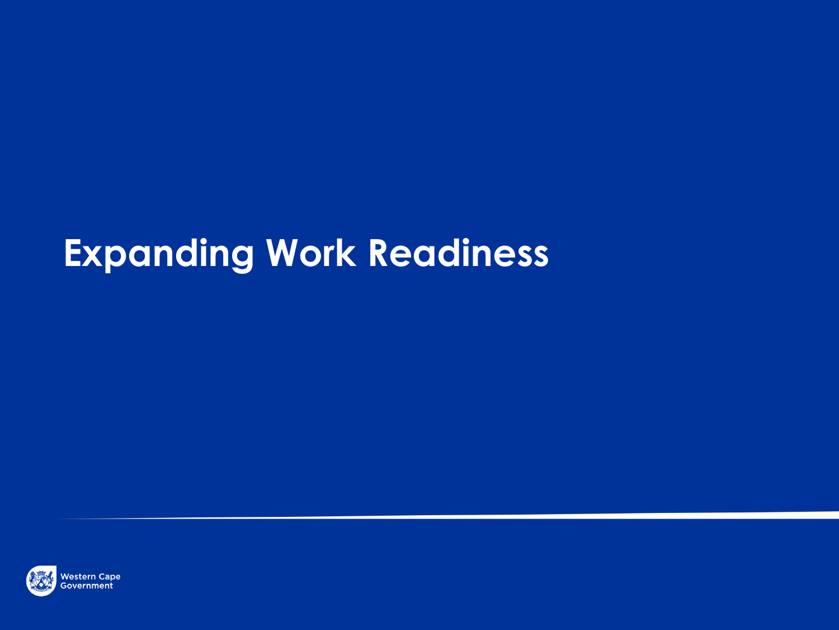# **Expanding Work Readiness**

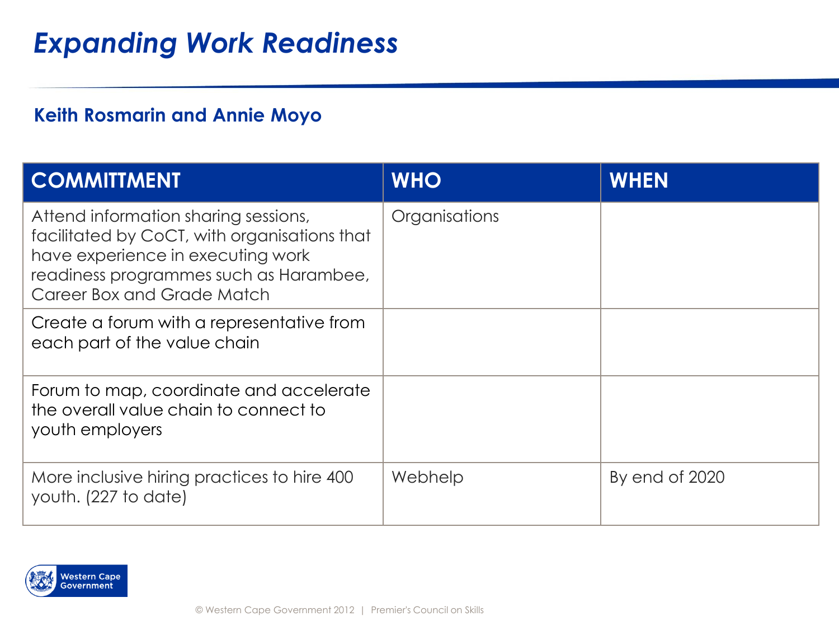### *Expanding Work Readiness*

#### **Keith Rosmarin and Annie Moyo**

| <b>COMMITTMENT</b>                                                                                                                                                                                | <b>WHO</b>    | <b>WHEN</b>    |
|---------------------------------------------------------------------------------------------------------------------------------------------------------------------------------------------------|---------------|----------------|
| Attend information sharing sessions,<br>facilitated by CoCT, with organisations that<br>have experience in executing work<br>readiness programmes such as Harambee,<br>Career Box and Grade Match | Organisations |                |
| Create a forum with a representative from<br>each part of the value chain                                                                                                                         |               |                |
| Forum to map, coordinate and accelerate<br>the overall value chain to connect to<br>youth employers                                                                                               |               |                |
| More inclusive hiring practices to hire 400<br>youth. (227 to date)                                                                                                                               | Webhelp       | By end of 2020 |